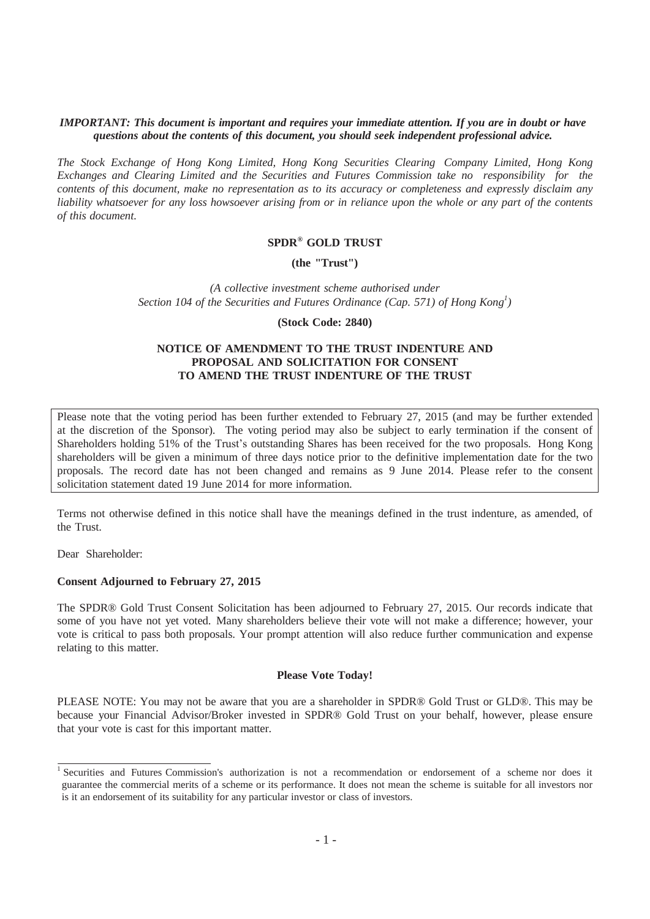#### *IMPORTANT: This document is important and requires your immediate attention. If you are in doubt or have questions about the contents of this document, you should seek independent professional advice.*

*The Stock Exchange of Hong Kong Limited, Hong Kong Securities Clearing Company Limited, Hong Kong Exchanges and Clearing Limited and the Securities and Futures Commission take no responsibility for the* contents of this document, make no representation as to its accuracy or completeness and expressly disclaim any liability whatsoever for any loss howsoever arising from or in reliance upon the whole or any part of the contents *of this document.*

## **SPDR® GOLD TRUST**

#### **(the "Trust")**

*(A collective investment scheme authorised under Section 104 of the Securities and Futures Ordinance (Cap. 571) of Hong Kong<sup>1</sup> )*

#### **(Stock Code: 2840)**

#### **NOTICE OF AMENDMENT TO THE TRUST INDENTURE AND PROPOSAL AND SOLICITATION FOR CONSENT TO AMEND THE TRUST INDENTURE OF THE TRUST**

Please note that the voting period has been further extended to February 27, 2015 (and may be further extended at the discretion of the Sponsor). The voting period may also be subject to early termination if the consent of Shareholders holding 51% of the Trust's outstanding Shares has been received for the two proposals. Hong Kong shareholders will be given a minimum of three days notice prior to the definitive implementation date for the two proposals. The record date has not been changed and remains as 9 June 2014. Please refer to the consent solicitation statement dated 19 June 2014 for more information.

Terms not otherwise defined in this notice shall have the meanings defined in the trust indenture, as amended, of the Trust.

Dear Shareholder:

#### **Consent Adjourned to February 27, 2015**

The SPDR® Gold Trust Consent Solicitation has been adjourned to February 27, 2015. Our records indicate that some of you have not yet voted. Many shareholders believe their vote will not make a difference; however, your vote is critical to pass both proposals. Your prompt attention will also reduce further communication and expense relating to this matter.

#### **Please Vote Today!**

PLEASE NOTE: You may not be aware that you are a shareholder in SPDR® Gold Trust or GLD®. This may be because your Financial Advisor/Broker invested in SPDR® Gold Trust on your behalf, however, please ensure that your vote is cast for this important matter.

<sup>1</sup> Securities and Futures Commission's authorization is not a recommendation or endorsement of a scheme nor does it guarantee the commercial merits of a scheme or its performance. It does not mean the scheme is suitable for all investors nor is it an endorsement of its suitability for any particular investor or class of investors.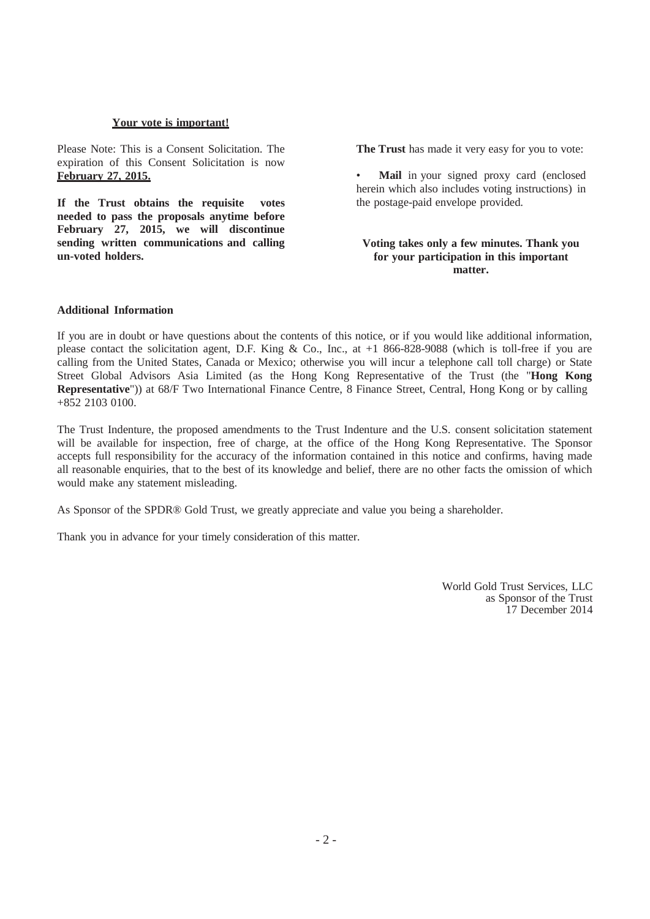#### **Your vote is important!**

Please Note: This is a Consent Solicitation. The expiration of this Consent Solicitation is now **February 27, 2015.**

**If the Trust obtains the requisite votes needed to pass the proposals anytime before February 27, 2015, we will discontinue sending written communications and calling un-voted holders.**

**The Trust** has made it very easy for you to vote:

Mail in your signed proxy card (enclosed herein which also includes voting instructions) in the postage-paid envelope provided.

#### **Voting takes only a few minutes. Thank you for your participation in this important matter.**

### **Additional Information**

If you are in doubt or have questions about the contents of this notice, or if you would like additional information, please contact the solicitation agent, D.F. King & Co., Inc., at +1 866-828-9088 (which is toll-free if you are calling from the United States, Canada or Mexico; otherwise you will incur a telephone call toll charge) or State Street Global Advisors Asia Limited (as the Hong Kong Representative of the Trust (the "**Hong Kong Representative**")) at 68/F Two International Finance Centre, 8 Finance Street, Central, Hong Kong or by calling +852 2103 0100.

The Trust Indenture, the proposed amendments to the Trust Indenture and the U.S. consent solicitation statement will be available for inspection, free of charge, at the office of the Hong Kong Representative. The Sponsor accepts full responsibility for the accuracy of the information contained in this notice and confirms, having made all reasonable enquiries, that to the best of its knowledge and belief, there are no other facts the omission of which would make any statement misleading.

As Sponsor of the SPDR® Gold Trust, we greatly appreciate and value you being a shareholder.

Thank you in advance for your timely consideration of this matter.

World Gold Trust Services, LLC as Sponsor of the Trust 17 December 2014